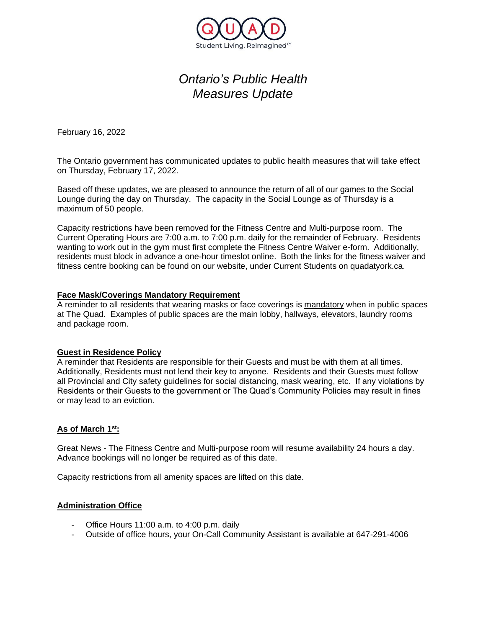

# *Ontario's Public Health Measures Update*

February 16, 2022

The Ontario government has communicated updates to public health measures that will take effect on Thursday, February 17, 2022.

Based off these updates, we are pleased to announce the return of all of our games to the Social Lounge during the day on Thursday. The capacity in the Social Lounge as of Thursday is a maximum of 50 people.

Capacity restrictions have been removed for the Fitness Centre and Multi-purpose room. The Current Operating Hours are 7:00 a.m. to 7:00 p.m. daily for the remainder of February. Residents wanting to work out in the gym must first complete the Fitness Centre Waiver e-form. Additionally, residents must block in advance a one-hour timeslot online. Both the links for the fitness waiver and fitness centre booking can be found on our website, under Current Students on quadatyork.ca.

#### **Face Mask/Coverings Mandatory Requirement**

A reminder to all residents that wearing masks or face coverings is mandatory when in public spaces at The Quad. Examples of public spaces are the main lobby, hallways, elevators, laundry rooms and package room.

### **Guest in Residence Policy**

A reminder that Residents are responsible for their Guests and must be with them at all times. Additionally, Residents must not lend their key to anyone. Residents and their Guests must follow all Provincial and City safety guidelines for social distancing, mask wearing, etc. If any violations by Residents or their Guests to the government or The Quad's Community Policies may result in fines or may lead to an eviction.

### **As of March 1st:**

Great News - The Fitness Centre and Multi-purpose room will resume availability 24 hours a day. Advance bookings will no longer be required as of this date.

Capacity restrictions from all amenity spaces are lifted on this date.

### **Administration Office**

- Office Hours 11:00 a.m. to 4:00 p.m. daily
- Outside of office hours, your On-Call Community Assistant is available at 647-291-4006